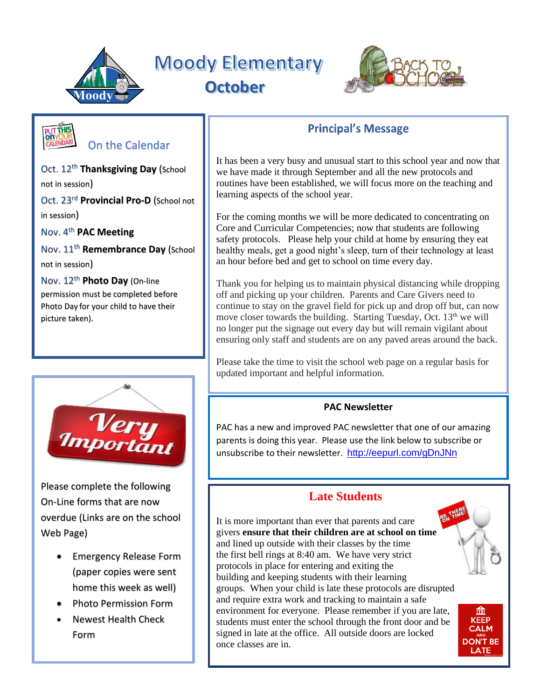

**Moody Elementary October**

DROP OFF/PICK UP



# On the Calendar

Oct. 12<sup>th</sup> Thanksgiving Day (School not in session) Oct. 23 rd **Provincial Pro-D** (School not

in session)

Nov. 4th **PAC Meeting**

Nov. 11th **Remembrance Day** (School not in session)

Nov. 12th **Photo Day** (On-line permission must be completed before Photo Day for your child to have their picture taken).



Please complete the following On-Line forms that are now overdue (Links are on the school Web Page)

- Emergency Release Form (paper copies were sent home this week as well)
- Photo Permission Form
- Newest Health Check Form

## **Principal's Message**

It has been a very busy and unusual start to this school year and now that we have made it through September and all the new protocols and routines have been established, we will focus more on the teaching and learning aspects of the school year.

For the coming months we will be more dedicated to concentrating on Core and Curricular Competencies; now that students are following safety protocols. Please help your child at home by ensuring they eat healthy meals, get a good night's sleep, turn of their technology at least an hour before bed and get to school on time every day.

Thank you for helping us to maintain physical distancing while dropping off and picking up your children. Parents and Care Givers need to continue to stay on the gravel field for pick up and drop off but, can now move closer towards the building. Starting Tuesday, Oct. 13<sup>th</sup> we will no longer put the signage out every day but will remain vigilant about ensuring only staff and students are on any paved areas around the back.

Please take the time to visit the school web page on a regular basis for updated important and helpful information.

#### **PAC Newsletter**

PAC has a new and improved PAC newsletter that one of our amazing parents is doing this year. Please use the link below to subscribe or unsubscribe to their newsletter. <http://eepurl.com/gDnJNn>

### **Late Students**

It is more important than ever that parents and care givers **ensure that their children are at school on time** and lined up outside with their classes by the time the first bell rings at 8:40 am. We have very strict protocols in place for entering and exiting the building and keeping students with their learning groups. When your child is late these protocols are disrupted and require extra work and tracking to maintain a safe environment for everyone. Please remember if you are late, students must enter the school through the front door and be signed in late at the office. All outside doors are locked once classes are in.